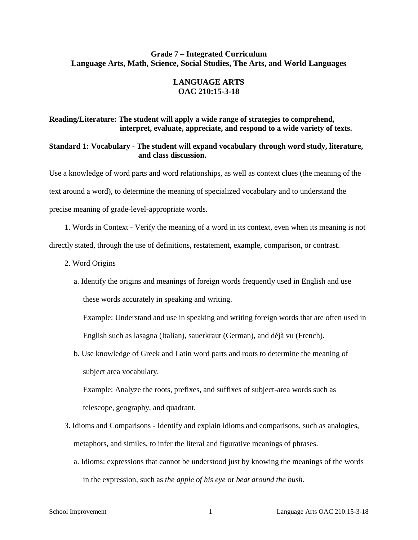# **Grade 7 – Integrated Curriculum Language Arts, Math, Science, Social Studies, The Arts, and World Languages**

### **LANGUAGE ARTS OAC 210:15-3-18**

### **Reading/Literature: The student will apply a wide range of strategies to comprehend, interpret, evaluate, appreciate, and respond to a wide variety of texts.**

### **Standard 1: Vocabulary - The student will expand vocabulary through word study, literature, and class discussion.**

Use a knowledge of word parts and word relationships, as well as context clues (the meaning of the text around a word), to determine the meaning of specialized vocabulary and to understand the precise meaning of grade-level-appropriate words.

1. Words in Context - Verify the meaning of a word in its context, even when its meaning is not directly stated, through the use of definitions, restatement, example, comparison, or contrast.

- 2. Word Origins
	- a. Identify the origins and meanings of foreign words frequently used in English and use these words accurately in speaking and writing.

Example: Understand and use in speaking and writing foreign words that are often used in English such as lasagna (Italian), sauerkraut (German), and déjà vu (French).

b. Use knowledge of Greek and Latin word parts and roots to determine the meaning of subject area vocabulary.

Example: Analyze the roots, prefixes, and suffixes of subject-area words such as telescope, geography, and quadrant.

- 3. Idioms and Comparisons Identify and explain idioms and comparisons, such as analogies, metaphors, and similes, to infer the literal and figurative meanings of phrases.
	- a. Idioms: expressions that cannot be understood just by knowing the meanings of the words in the expression, such as *the apple of his eye* or *beat around the bush.*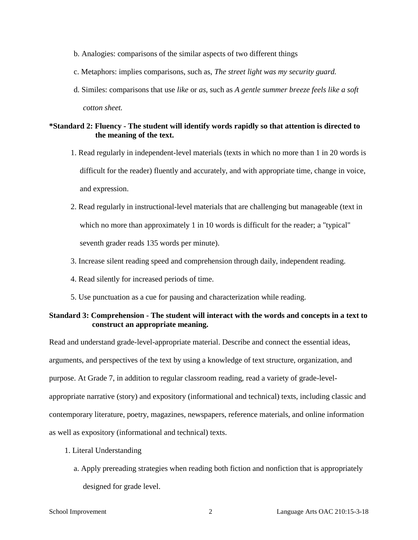- b. Analogies: comparisons of the similar aspects of two different things
- c. Metaphors: implies comparisons, such as, *The street light was my security guard.*
- d. Similes: comparisons that use *like* or *as*, such as *A gentle summer breeze feels like a soft cotton sheet.*

### **\*Standard 2: Fluency - The student will identify words rapidly so that attention is directed to the meaning of the text.**

- 1. Read regularly in independent-level materials (texts in which no more than 1 in 20 words is difficult for the reader) fluently and accurately, and with appropriate time, change in voice, and expression.
- 2. Read regularly in instructional-level materials that are challenging but manageable (text in which no more than approximately 1 in 10 words is difficult for the reader; a "typical" seventh grader reads 135 words per minute).
- 3. Increase silent reading speed and comprehension through daily, independent reading.
- 4. Read silently for increased periods of time.
- 5. Use punctuation as a cue for pausing and characterization while reading.

### **Standard 3: Comprehension - The student will interact with the words and concepts in a text to construct an appropriate meaning.**

Read and understand grade-level-appropriate material. Describe and connect the essential ideas, arguments, and perspectives of the text by using a knowledge of text structure, organization, and purpose. At Grade 7, in addition to regular classroom reading, read a variety of grade-levelappropriate narrative (story) and expository (informational and technical) texts, including classic and contemporary literature, poetry, magazines, newspapers, reference materials, and online information as well as expository (informational and technical) texts.

- 1. Literal Understanding
	- a. Apply prereading strategies when reading both fiction and nonfiction that is appropriately designed for grade level.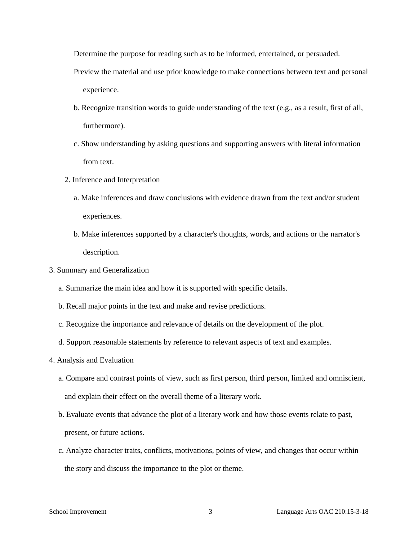Determine the purpose for reading such as to be informed, entertained, or persuaded.

- Preview the material and use prior knowledge to make connections between text and personal experience.
- b. Recognize transition words to guide understanding of the text (e.g., as a result, first of all, furthermore).
- c. Show understanding by asking questions and supporting answers with literal information from text.
- 2. Inference and Interpretation
	- a. Make inferences and draw conclusions with evidence drawn from the text and/or student experiences.
	- b. Make inferences supported by a character's thoughts, words, and actions or the narrator's description.
- 3. Summary and Generalization
	- a. Summarize the main idea and how it is supported with specific details.
	- b. Recall major points in the text and make and revise predictions.
	- c. Recognize the importance and relevance of details on the development of the plot.
	- d. Support reasonable statements by reference to relevant aspects of text and examples.
- 4. Analysis and Evaluation
	- a. Compare and contrast points of view, such as first person, third person, limited and omniscient, and explain their effect on the overall theme of a literary work.
	- b. Evaluate events that advance the plot of a literary work and how those events relate to past, present, or future actions.
	- c. Analyze character traits, conflicts, motivations, points of view, and changes that occur within the story and discuss the importance to the plot or theme.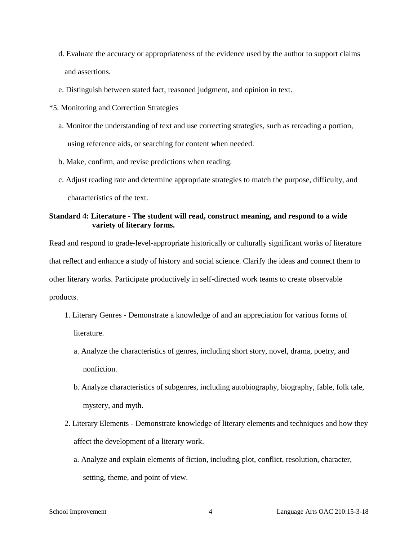- d. Evaluate the accuracy or appropriateness of the evidence used by the author to support claims and assertions.
- e. Distinguish between stated fact, reasoned judgment, and opinion in text.
- \*5. Monitoring and Correction Strategies
	- a. Monitor the understanding of text and use correcting strategies, such as rereading a portion, using reference aids, or searching for content when needed.
	- b. Make, confirm, and revise predictions when reading.
	- c. Adjust reading rate and determine appropriate strategies to match the purpose, difficulty, and characteristics of the text.

### **Standard 4: Literature - The student will read, construct meaning, and respond to a wide variety of literary forms.**

Read and respond to grade-level-appropriate historically or culturally significant works of literature that reflect and enhance a study of history and social science. Clarify the ideas and connect them to other literary works. Participate productively in self-directed work teams to create observable products.

- 1. Literary Genres Demonstrate a knowledge of and an appreciation for various forms of literature.
	- a. Analyze the characteristics of genres, including short story, novel, drama, poetry, and nonfiction.
	- b. Analyze characteristics of subgenres, including autobiography, biography, fable, folk tale, mystery, and myth.
- 2. Literary Elements Demonstrate knowledge of literary elements and techniques and how they affect the development of a literary work.
	- a. Analyze and explain elements of fiction, including plot, conflict, resolution, character, setting, theme, and point of view.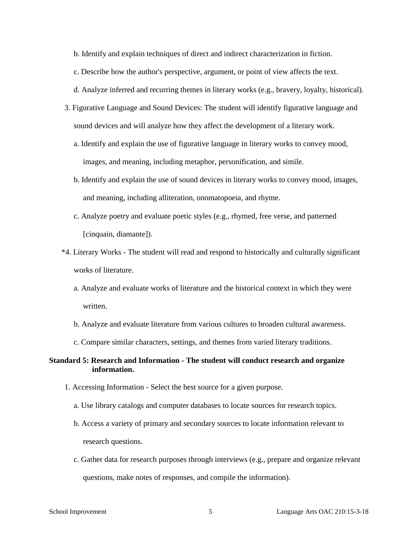b. Identify and explain techniques of direct and indirect characterization in fiction.

c. Describe how the author's perspective, argument, or point of view affects the text.

d. Analyze inferred and recurring themes in literary works (e.g., bravery, loyalty, historical).

- 3. Figurative Language and Sound Devices: The student will identify figurative language and sound devices and will analyze how they affect the development of a literary work.
	- a. Identify and explain the use of figurative language in literary works to convey mood, images, and meaning, including metaphor, personification, and simile.
	- b. Identify and explain the use of sound devices in literary works to convey mood, images, and meaning, including alliteration, onomatopoeia, and rhyme.
	- c. Analyze poetry and evaluate poetic styles (e.g., rhymed, free verse, and patterned [cinquain, diamante]).
- \*4. Literary Works The student will read and respond to historically and culturally significant works of literature.
	- a. Analyze and evaluate works of literature and the historical context in which they were written.
	- b. Analyze and evaluate literature from various cultures to broaden cultural awareness.
	- c. Compare similar characters, settings, and themes from varied literary traditions.

### **Standard 5: Research and Information - The student will conduct research and organize information.**

- 1. Accessing Information Select the best source for a given purpose.
	- a. Use library catalogs and computer databases to locate sources for research topics.
	- b. Access a variety of primary and secondary sources to locate information relevant to research questions.
	- c. Gather data for research purposes through interviews (e.g., prepare and organize relevant questions, make notes of responses, and compile the information).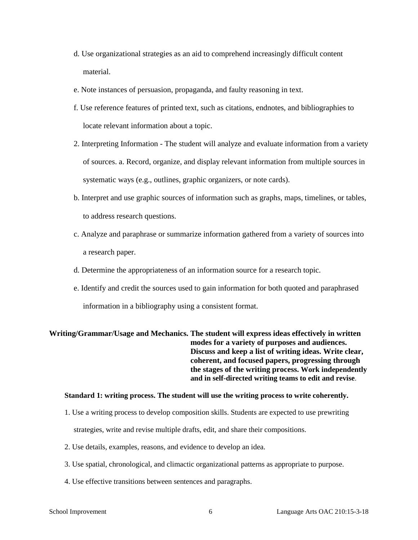- d. Use organizational strategies as an aid to comprehend increasingly difficult content material.
- e. Note instances of persuasion, propaganda, and faulty reasoning in text.
- f. Use reference features of printed text, such as citations, endnotes, and bibliographies to locate relevant information about a topic.
- 2. Interpreting Information The student will analyze and evaluate information from a variety of sources. a. Record, organize, and display relevant information from multiple sources in systematic ways (e.g., outlines, graphic organizers, or note cards).
- b. Interpret and use graphic sources of information such as graphs, maps, timelines, or tables, to address research questions.
- c. Analyze and paraphrase or summarize information gathered from a variety of sources into a research paper.
- d. Determine the appropriateness of an information source for a research topic.
- e. Identify and credit the sources used to gain information for both quoted and paraphrased

information in a bibliography using a consistent format.

**Writing/Grammar/Usage and Mechanics. The student will express ideas effectively in written modes for a variety of purposes and audiences. Discuss and keep a list of writing ideas. Write clear, coherent, and focused papers, progressing through the stages of the writing process. Work independently and in self-directed writing teams to edit and revise**.

#### **Standard 1: writing process. The student will use the writing process to write coherently.**

- 1. Use a writing process to develop composition skills. Students are expected to use prewriting strategies, write and revise multiple drafts, edit, and share their compositions.
- 2. Use details, examples, reasons, and evidence to develop an idea.
- 3. Use spatial, chronological, and climactic organizational patterns as appropriate to purpose.
- 4. Use effective transitions between sentences and paragraphs.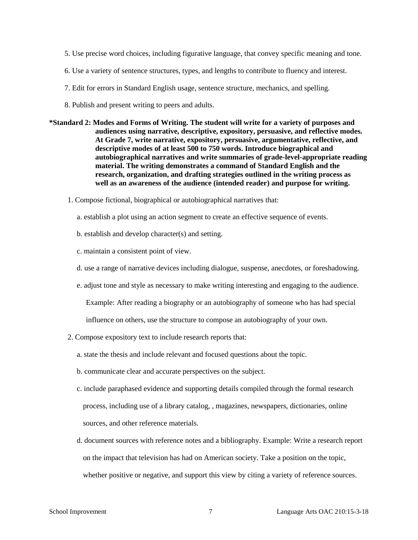- 5. Use precise word choices, including figurative language, that convey specific meaning and tone.
- 6. Use a variety of sentence structures, types, and lengths to contribute to fluency and interest.
- 7. Edit for errors in Standard English usage, sentence structure, mechanics, and spelling.
- 8. Publish and present writing to peers and adults.
- **\*Standard 2: Modes and Forms of Writing. The student will write for a variety of purposes and audiences using narrative, descriptive, expository, persuasive, and reflective modes. At Grade 7, write narrative, expository, persuasive, argumentative, reflective, and descriptive modes of at least 500 to 750 words. Introduce biographical and autobiographical narratives and write summaries of grade-level-appropriate reading material. The writing demonstrates a command of Standard English and the research, organization, and drafting strategies outlined in the writing process as well as an awareness of the audience (intended reader) and purpose for writing.** 
	- 1. Compose fictional, biographical or autobiographical narratives that:
		- a. establish a plot using an action segment to create an effective sequence of events.
		- b. establish and develop character(s) and setting.
		- c. maintain a consistent point of view.
		- d. use a range of narrative devices including dialogue, suspense, anecdotes, or foreshadowing.
		- e. adjust tone and style as necessary to make writing interesting and engaging to the audience.

Example: After reading a biography or an autobiography of someone who has had special

influence on others, use the structure to compose an autobiography of your own.

- 2. Compose expository text to include research reports that:
	- a. state the thesis and include relevant and focused questions about the topic.
	- b. communicate clear and accurate perspectives on the subject.
	- c. include paraphased evidence and supporting details compiled through the formal research process, including use of a library catalog, , magazines, newspapers, dictionaries, online sources, and other reference materials.
	- d. document sources with reference notes and a bibliography. Example: Write a research report on the impact that television has had on American society. Take a position on the topic, whether positive or negative, and support this view by citing a variety of reference sources.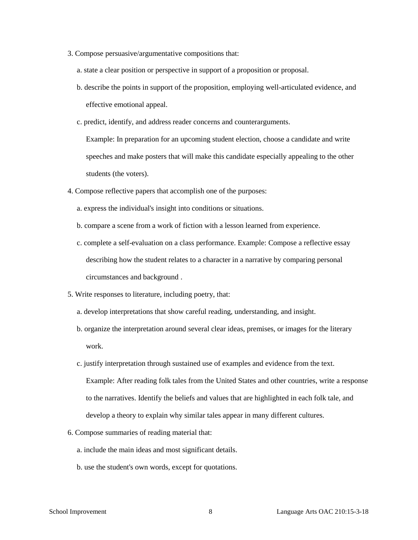- 3. Compose persuasive/argumentative compositions that:
	- a. state a clear position or perspective in support of a proposition or proposal.
	- b. describe the points in support of the proposition, employing well-articulated evidence, and effective emotional appeal.
	- c. predict, identify, and address reader concerns and counterarguments.

Example: In preparation for an upcoming student election, choose a candidate and write speeches and make posters that will make this candidate especially appealing to the other students (the voters).

- 4. Compose reflective papers that accomplish one of the purposes:
	- a. express the individual's insight into conditions or situations.
	- b. compare a scene from a work of fiction with a lesson learned from experience.
	- c. complete a self-evaluation on a class performance. Example: Compose a reflective essay describing how the student relates to a character in a narrative by comparing personal circumstances and background .
- 5. Write responses to literature, including poetry, that:
	- a. develop interpretations that show careful reading, understanding, and insight.
	- b. organize the interpretation around several clear ideas, premises, or images for the literary work.
	- c. justify interpretation through sustained use of examples and evidence from the text. Example: After reading folk tales from the United States and other countries, write a response to the narratives. Identify the beliefs and values that are highlighted in each folk tale, and develop a theory to explain why similar tales appear in many different cultures.
- 6. Compose summaries of reading material that:
	- a. include the main ideas and most significant details.
	- b. use the student's own words, except for quotations.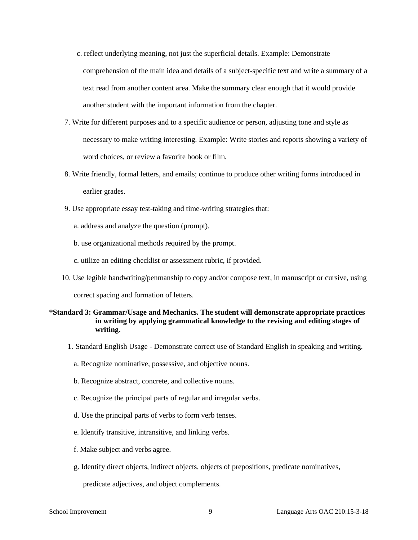- c. reflect underlying meaning, not just the superficial details. Example: Demonstrate comprehension of the main idea and details of a subject-specific text and write a summary of a text read from another content area. Make the summary clear enough that it would provide another student with the important information from the chapter.
- 7. Write for different purposes and to a specific audience or person, adjusting tone and style as necessary to make writing interesting. Example: Write stories and reports showing a variety of word choices, or review a favorite book or film.
- 8. Write friendly, formal letters, and emails; continue to produce other writing forms introduced in earlier grades.
- 9. Use appropriate essay test-taking and time-writing strategies that:
	- a. address and analyze the question (prompt).
	- b. use organizational methods required by the prompt.
	- c. utilize an editing checklist or assessment rubric, if provided.
- 10. Use legible handwriting/penmanship to copy and/or compose text, in manuscript or cursive, using

correct spacing and formation of letters.

#### **\*Standard 3: Grammar/Usage and Mechanics. The student will demonstrate appropriate practices in writing by applying grammatical knowledge to the revising and editing stages of writing.**

- 1. Standard English Usage Demonstrate correct use of Standard English in speaking and writing.
	- a. Recognize nominative, possessive, and objective nouns.
	- b. Recognize abstract, concrete, and collective nouns.
	- c. Recognize the principal parts of regular and irregular verbs.
	- d. Use the principal parts of verbs to form verb tenses.
	- e. Identify transitive, intransitive, and linking verbs.
	- f. Make subject and verbs agree.
	- g. Identify direct objects, indirect objects, objects of prepositions, predicate nominatives,

predicate adjectives, and object complements.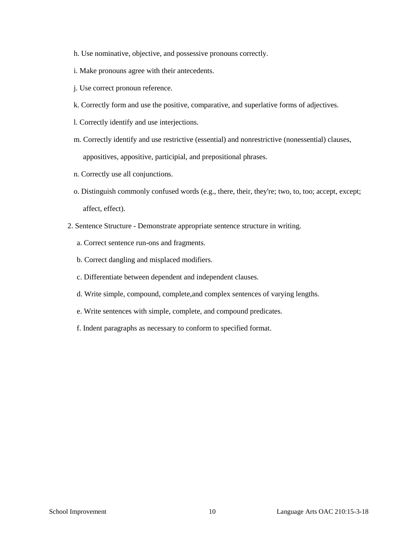- h. Use nominative, objective, and possessive pronouns correctly.
- i. Make pronouns agree with their antecedents.
- j. Use correct pronoun reference.
- k. Correctly form and use the positive, comparative, and superlative forms of adjectives.
- l. Correctly identify and use interjections.
- m. Correctly identify and use restrictive (essential) and nonrestrictive (nonessential) clauses, appositives, appositive, participial, and prepositional phrases.
- n. Correctly use all conjunctions.
- o. Distinguish commonly confused words (e.g., there, their, they're; two, to, too; accept, except; affect, effect).
- 2. Sentence Structure Demonstrate appropriate sentence structure in writing.
	- a. Correct sentence run-ons and fragments.
	- b. Correct dangling and misplaced modifiers.
	- c. Differentiate between dependent and independent clauses.
	- d. Write simple, compound, complete,and complex sentences of varying lengths.
	- e. Write sentences with simple, complete, and compound predicates.
	- f. Indent paragraphs as necessary to conform to specified format.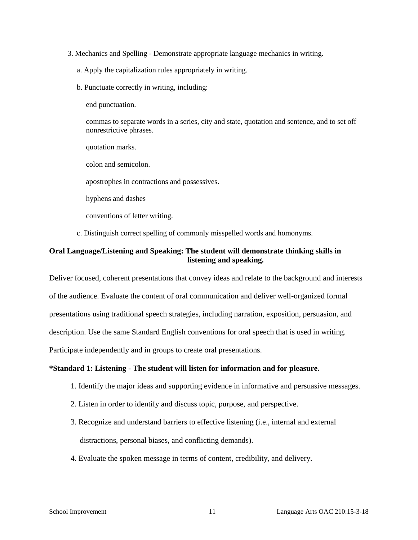- 3. Mechanics and Spelling Demonstrate appropriate language mechanics in writing.
	- a. Apply the capitalization rules appropriately in writing.
	- b. Punctuate correctly in writing, including:

end punctuation.

commas to separate words in a series, city and state, quotation and sentence, and to set off nonrestrictive phrases.

quotation marks.

colon and semicolon.

apostrophes in contractions and possessives.

hyphens and dashes

conventions of letter writing.

c. Distinguish correct spelling of commonly misspelled words and homonyms.

# **Oral Language/Listening and Speaking: The student will demonstrate thinking skills in listening and speaking.**

Deliver focused, coherent presentations that convey ideas and relate to the background and interests of the audience. Evaluate the content of oral communication and deliver well-organized formal presentations using traditional speech strategies, including narration, exposition, persuasion, and description. Use the same Standard English conventions for oral speech that is used in writing. Participate independently and in groups to create oral presentations.

#### **\*Standard 1: Listening - The student will listen for information and for pleasure.**

- 1. Identify the major ideas and supporting evidence in informative and persuasive messages.
- 2. Listen in order to identify and discuss topic, purpose, and perspective.
- 3. Recognize and understand barriers to effective listening (i.e., internal and external distractions, personal biases, and conflicting demands).
- 4. Evaluate the spoken message in terms of content, credibility, and delivery.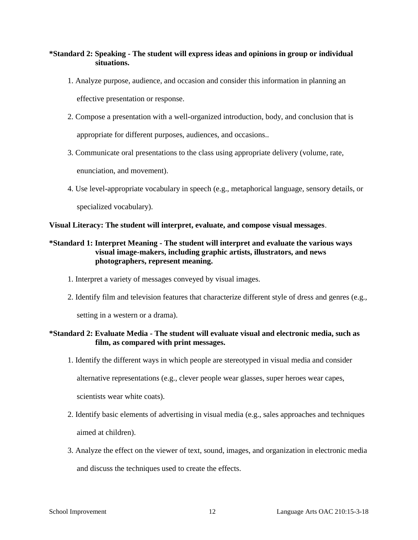# **\*Standard 2: Speaking - The student will express ideas and opinions in group or individual situations.**

- 1. Analyze purpose, audience, and occasion and consider this information in planning an effective presentation or response.
- 2. Compose a presentation with a well-organized introduction, body, and conclusion that is appropriate for different purposes, audiences, and occasions..
- 3. Communicate oral presentations to the class using appropriate delivery (volume, rate,

enunciation, and movement).

4. Use level-appropriate vocabulary in speech (e.g., metaphorical language, sensory details, or

specialized vocabulary).

**Visual Literacy: The student will interpret, evaluate, and compose visual messages**.

# **\*Standard 1: Interpret Meaning - The student will interpret and evaluate the various ways visual image-makers, including graphic artists, illustrators, and news photographers, represent meaning.**

- 1. Interpret a variety of messages conveyed by visual images.
- 2. Identify film and television features that characterize different style of dress and genres (e.g.,

setting in a western or a drama).

# **\*Standard 2: Evaluate Media - The student will evaluate visual and electronic media, such as film, as compared with print messages.**

1. Identify the different ways in which people are stereotyped in visual media and consider

alternative representations (e.g., clever people wear glasses, super heroes wear capes,

scientists wear white coats).

- 2. Identify basic elements of advertising in visual media (e.g., sales approaches and techniques aimed at children).
- 3. Analyze the effect on the viewer of text, sound, images, and organization in electronic media and discuss the techniques used to create the effects.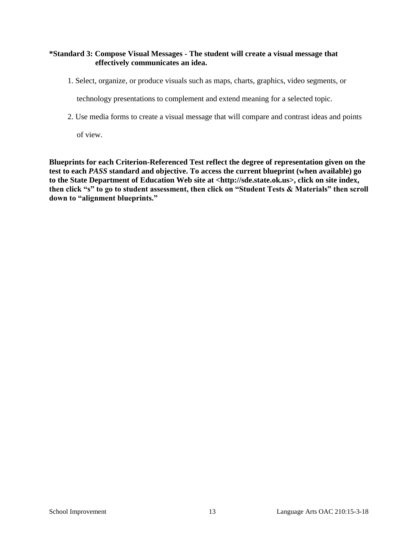# **\*Standard 3: Compose Visual Messages - The student will create a visual message that effectively communicates an idea.**

1. Select, organize, or produce visuals such as maps, charts, graphics, video segments, or

technology presentations to complement and extend meaning for a selected topic.

2. Use media forms to create a visual message that will compare and contrast ideas and points

of view.

**Blueprints for each Criterion-Referenced Test reflect the degree of representation given on the test to each** *PASS* **standard and objective. To access the current blueprint (when available) go to the State Department of Education Web site at <http://sde.state.ok.us>, click on site index, then click "s" to go to student assessment, then click on "Student Tests & Materials" then scroll down to "alignment blueprints."**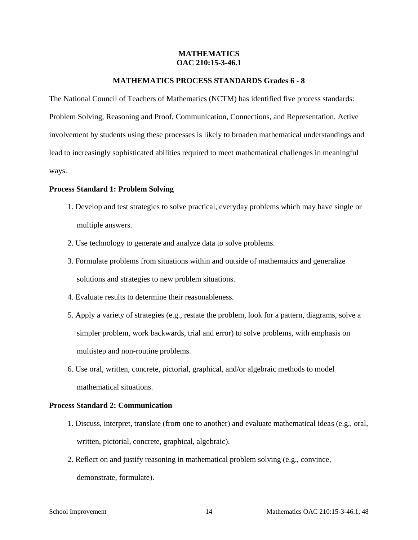### **MATHEMATICS OAC 210:15-3-46.1**

#### **MATHEMATICS PROCESS STANDARDS Grades 6 - 8**

The National Council of Teachers of Mathematics (NCTM) has identified five process standards: Problem Solving, Reasoning and Proof, Communication, Connections, and Representation. Active involvement by students using these processes is likely to broaden mathematical understandings and lead to increasingly sophisticated abilities required to meet mathematical challenges in meaningful ways.

#### **Process Standard 1: Problem Solving**

- 1. Develop and test strategies to solve practical, everyday problems which may have single or multiple answers.
- 2. Use technology to generate and analyze data to solve problems.
- 3. Formulate problems from situations within and outside of mathematics and generalize solutions and strategies to new problem situations.
- 4. Evaluate results to determine their reasonableness.
- 5. Apply a variety of strategies (e.g., restate the problem, look for a pattern, diagrams, solve a simpler problem, work backwards, trial and error) to solve problems, with emphasis on multistep and non-routine problems.
- 6. Use oral, written, concrete, pictorial, graphical, and/or algebraic methods to model mathematical situations.

### **Process Standard 2: Communication**

- 1. Discuss, interpret, translate (from one to another) and evaluate mathematical ideas (e.g., oral, written, pictorial, concrete, graphical, algebraic).
- 2. Reflect on and justify reasoning in mathematical problem solving (e.g., convince, demonstrate, formulate).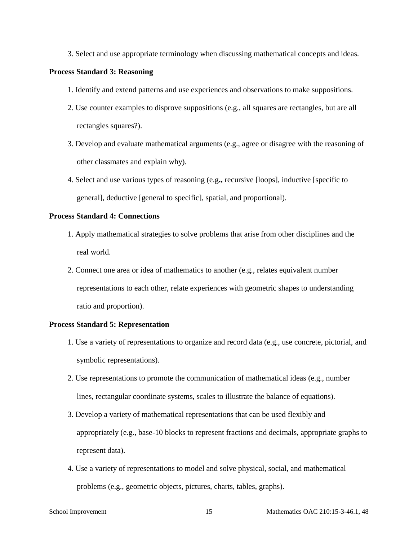3. Select and use appropriate terminology when discussing mathematical concepts and ideas.

#### **Process Standard 3: Reasoning**

- 1. Identify and extend patterns and use experiences and observations to make suppositions.
- 2. Use counter examples to disprove suppositions (e.g., all squares are rectangles, but are all rectangles squares?).
- 3. Develop and evaluate mathematical arguments (e.g., agree or disagree with the reasoning of other classmates and explain why).
- 4. Select and use various types of reasoning (e.g**.,** recursive [loops], inductive [specific to general], deductive [general to specific], spatial, and proportional).

#### **Process Standard 4: Connections**

- 1. Apply mathematical strategies to solve problems that arise from other disciplines and the real world.
- 2. Connect one area or idea of mathematics to another (e.g., relates equivalent number representations to each other, relate experiences with geometric shapes to understanding ratio and proportion).

#### **Process Standard 5: Representation**

- 1. Use a variety of representations to organize and record data (e.g., use concrete, pictorial, and symbolic representations).
- 2. Use representations to promote the communication of mathematical ideas (e.g., number lines, rectangular coordinate systems, scales to illustrate the balance of equations).
- 3. Develop a variety of mathematical representations that can be used flexibly and appropriately (e.g., base-10 blocks to represent fractions and decimals, appropriate graphs to represent data).
- 4. Use a variety of representations to model and solve physical, social, and mathematical problems (e.g., geometric objects, pictures, charts, tables, graphs).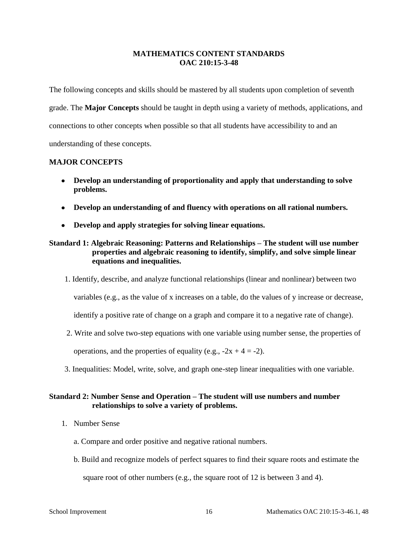# **MATHEMATICS CONTENT STANDARDS OAC 210:15-3-48**

The following concepts and skills should be mastered by all students upon completion of seventh grade. The **Major Concepts** should be taught in depth using a variety of methods, applications, and connections to other concepts when possible so that all students have accessibility to and an understanding of these concepts.

# **MAJOR CONCEPTS**

- **Develop an understanding of proportionality and apply that understanding to solve problems.**
- **Develop an understanding of and fluency with operations on all rational numbers.**
- **Develop and apply strategies for solving linear equations.**

# **Standard 1: Algebraic Reasoning: Patterns and Relationships – The student will use number properties and algebraic reasoning to identify, simplify, and solve simple linear equations and inequalities.**

1. Identify, describe, and analyze functional relationships (linear and nonlinear) between two

variables (e.g., as the value of x increases on a table, do the values of y increase or decrease,

identify a positive rate of change on a graph and compare it to a negative rate of change).

2. Write and solve two-step equations with one variable using number sense, the properties of

operations, and the properties of equality (e.g.,  $-2x + 4 = -2$ ).

3. Inequalities: Model, write, solve, and graph one-step linear inequalities with one variable.

# **Standard 2: Number Sense and Operation – The student will use numbers and number relationships to solve a variety of problems.**

- 1. Number Sense
	- a. Compare and order positive and negative rational numbers.
	- b. Build and recognize models of perfect squares to find their square roots and estimate the square root of other numbers (e.g., the square root of 12 is between 3 and 4).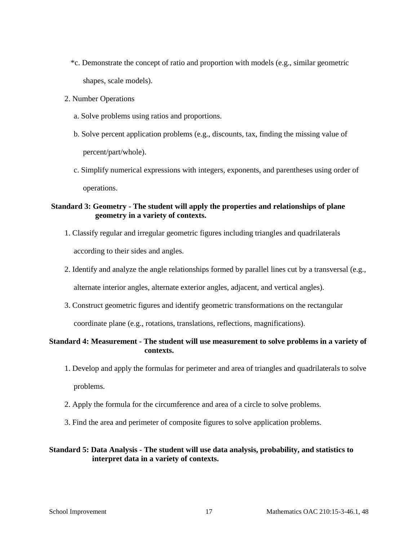- \*c. Demonstrate the concept of ratio and proportion with models (e.g., similar geometric shapes, scale models).
- 2. Number Operations
	- a. Solve problems using ratios and proportions.
	- b. Solve percent application problems (e.g., discounts, tax, finding the missing value of percent/part/whole).
	- c. Simplify numerical expressions with integers, exponents, and parentheses using order of operations.

# **Standard 3: Geometry - The student will apply the properties and relationships of plane geometry in a variety of contexts.**

- 1. Classify regular and irregular geometric figures including triangles and quadrilaterals according to their sides and angles.
- 2. Identify and analyze the angle relationships formed by parallel lines cut by a transversal (e.g., alternate interior angles, alternate exterior angles, adjacent, and vertical angles).
- 3. Construct geometric figures and identify geometric transformations on the rectangular

coordinate plane (e.g., rotations, translations, reflections, magnifications).

# **Standard 4: Measurement - The student will use measurement to solve problems in a variety of contexts.**

- 1. Develop and apply the formulas for perimeter and area of triangles and quadrilaterals to solve problems.
- 2. Apply the formula for the circumference and area of a circle to solve problems.
- 3. Find the area and perimeter of composite figures to solve application problems.

### **Standard 5: Data Analysis - The student will use data analysis, probability, and statistics to interpret data in a variety of contexts.**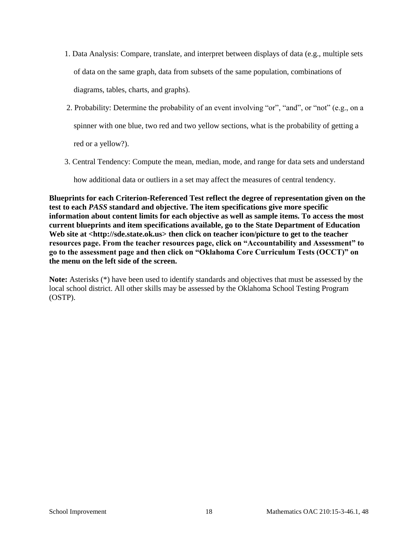- 1. Data Analysis: Compare, translate, and interpret between displays of data (e.g., multiple sets of data on the same graph, data from subsets of the same population, combinations of diagrams, tables, charts, and graphs).
- 2. Probability: Determine the probability of an event involving "or", "and", or "not" (e.g., on a spinner with one blue, two red and two yellow sections, what is the probability of getting a red or a yellow?).
- 3. Central Tendency: Compute the mean, median, mode, and range for data sets and understand

how additional data or outliers in a set may affect the measures of central tendency.

**Blueprints for each Criterion-Referenced Test reflect the degree of representation given on the test to each** *PASS* **standard and objective. The item specifications give more specific information about content limits for each objective as well as sample items. To access the most current blueprints and item specifications available, go to the State Department of Education**  Web site at <http://sde.state.ok.us> then click on teacher icon/picture to get to the teacher **resources page. From the teacher resources page, click on "Accountability and Assessment" to go to the assessment page and then click on "Oklahoma Core Curriculum Tests (OCCT)" on the menu on the left side of the screen.**

**Note:** Asterisks (\*) have been used to identify standards and objectives that must be assessed by the local school district. All other skills may be assessed by the Oklahoma School Testing Program (OSTP).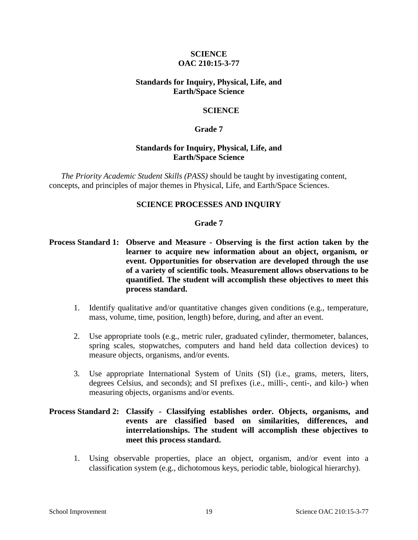# **SCIENCE OAC 210:15-3-77**

# **Standards for Inquiry, Physical, Life, and Earth/Space Science**

### **SCIENCE**

#### **Grade 7**

### **Standards for Inquiry, Physical, Life, and Earth/Space Science**

*The Priority Academic Student Skills (PASS)* should be taught by investigating content, concepts, and principles of major themes in Physical, Life, and Earth/Space Sciences.

# **SCIENCE PROCESSES AND INQUIRY**

#### **Grade 7**

- **Process Standard 1: Observe and Measure - Observing is the first action taken by the learner to acquire new information about an object, organism, or event. Opportunities for observation are developed through the use of a variety of scientific tools. Measurement allows observations to be quantified. The student will accomplish these objectives to meet this process standard.** 
	- 1. Identify qualitative and/or quantitative changes given conditions (e.g., temperature, mass, volume, time, position, length) before, during, and after an event.
	- 2. Use appropriate tools (e.g., metric ruler, graduated cylinder, thermometer, balances, spring scales, stopwatches, computers and hand held data collection devices) to measure objects, organisms, and/or events.
	- 3. Use appropriate International System of Units (SI) (i.e., grams, meters, liters, degrees Celsius, and seconds); and SI prefixes (i.e., milli-, centi-, and kilo-) when measuring objects, organisms and/or events.

# **Process Standard 2: Classify - Classifying establishes order. Objects, organisms, and events are classified based on similarities, differences, and interrelationships. The student will accomplish these objectives to meet this process standard.**

1. Using observable properties, place an object, organism, and/or event into a classification system (e.g., dichotomous keys, periodic table, biological hierarchy).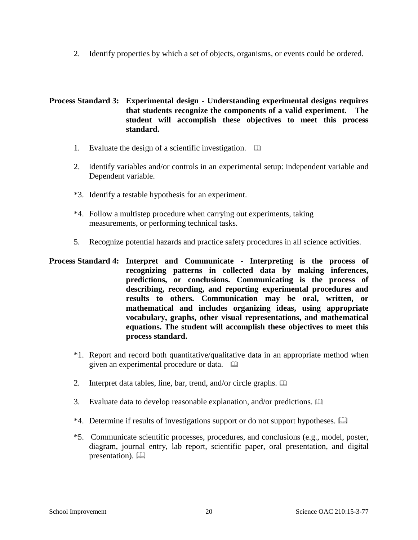2. Identify properties by which a set of objects, organisms, or events could be ordered.

**Process Standard 3: Experimental design - Understanding experimental designs requires that students recognize the components of a valid experiment. The student will accomplish these objectives to meet this process standard.** 

- 1. Evaluate the design of a scientific investigation.
- 2. Identify variables and/or controls in an experimental setup: independent variable and Dependent variable.
- \*3. Identify a testable hypothesis for an experiment.
- \*4. Follow a multistep procedure when carrying out experiments, taking measurements, or performing technical tasks.
- 5. Recognize potential hazards and practice safety procedures in all science activities.
- **Process Standard 4: Interpret and Communicate - Interpreting is the process of recognizing patterns in collected data by making inferences, predictions, or conclusions. Communicating is the process of describing, recording, and reporting experimental procedures and results to others. Communication may be oral, written, or mathematical and includes organizing ideas, using appropriate vocabulary, graphs, other visual representations, and mathematical equations. The student will accomplish these objectives to meet this process standard.** 
	- \*1. Report and record both quantitative/qualitative data in an appropriate method when given an experimental procedure or data.
	- 2. Interpret data tables, line, bar, trend, and/or circle graphs.  $\Box$
	- 3. Evaluate data to develop reasonable explanation, and/or predictions.
	- \*4. Determine if results of investigations support or do not support hypotheses.
	- \*5. Communicate scientific processes, procedures, and conclusions (e.g., model, poster, diagram, journal entry, lab report, scientific paper, oral presentation, and digital presentation).  $\Box$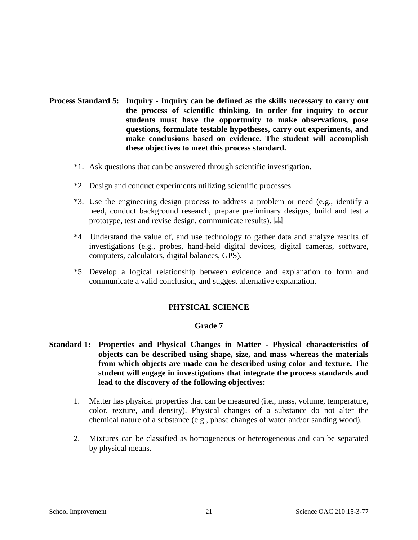- **Process Standard 5: Inquiry - Inquiry can be defined as the skills necessary to carry out the process of scientific thinking. In order for inquiry to occur students must have the opportunity to make observations, pose questions, formulate testable hypotheses, carry out experiments, and make conclusions based on evidence. The student will accomplish these objectives to meet this process standard.** 
	- \*1. Ask questions that can be answered through scientific investigation.
	- \*2. Design and conduct experiments utilizing scientific processes.
	- \*3. Use the engineering design process to address a problem or need (e.g., identify a need, conduct background research, prepare preliminary designs, build and test a prototype, test and revise design, communicate results).
	- \*4. Understand the value of, and use technology to gather data and analyze results of investigations (e.g., probes, hand-held digital devices, digital cameras, software, computers, calculators, digital balances, GPS).
	- \*5. Develop a logical relationship between evidence and explanation to form and communicate a valid conclusion, and suggest alternative explanation.

# **PHYSICAL SCIENCE**

#### **Grade 7**

- **Standard 1: Properties and Physical Changes in Matter - Physical characteristics of objects can be described using shape, size, and mass whereas the materials from which objects are made can be described using color and texture. The student will engage in investigations that integrate the process standards and lead to the discovery of the following objectives:** 
	- 1. Matter has physical properties that can be measured (i.e., mass, volume, temperature, color, texture, and density). Physical changes of a substance do not alter the chemical nature of a substance (e.g., phase changes of water and/or sanding wood).
	- 2. Mixtures can be classified as homogeneous or heterogeneous and can be separated by physical means.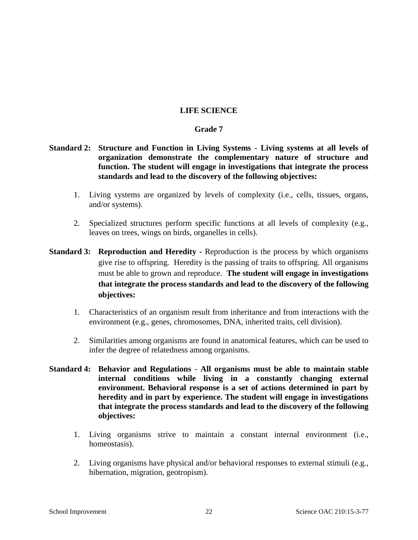### **LIFE SCIENCE**

#### **Grade 7**

- **Standard 2: Structure and Function in Living Systems - Living systems at all levels of organization demonstrate the complementary nature of structure and function. The student will engage in investigations that integrate the process standards and lead to the discovery of the following objectives:** 
	- 1. Living systems are organized by levels of complexity (i.e., cells, tissues, organs, and/or systems).
	- 2. Specialized structures perform specific functions at all levels of complexity (e.g., leaves on trees, wings on birds, organelles in cells).
- **Standard 3: Reproduction and Heredity -** Reproduction is the process by which organisms give rise to offspring. Heredity is the passing of traits to offspring. All organisms must be able to grown and reproduce. **The student will engage in investigations that integrate the process standards and lead to the discovery of the following objectives:** 
	- 1. Characteristics of an organism result from inheritance and from interactions with the environment (e.g., genes, chromosomes, DNA, inherited traits, cell division).
	- 2. Similarities among organisms are found in anatomical features, which can be used to infer the degree of relatedness among organisms.
- **Standard 4: Behavior and Regulations - All organisms must be able to maintain stable internal conditions while living in a constantly changing external environment. Behavioral response is a set of actions determined in part by heredity and in part by experience. The student will engage in investigations that integrate the process standards and lead to the discovery of the following objectives:** 
	- 1. Living organisms strive to maintain a constant internal environment (i.e., homeostasis).
	- 2. Living organisms have physical and/or behavioral responses to external stimuli (e.g., hibernation, migration, geotropism).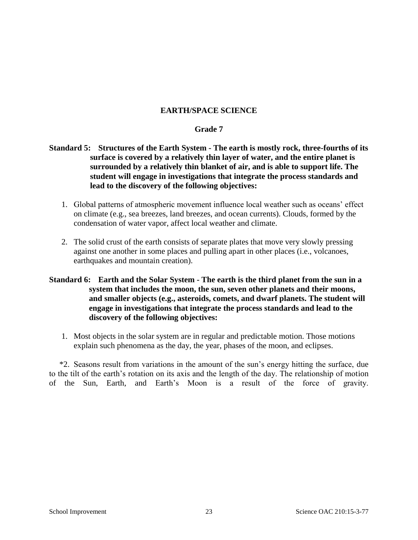# **EARTH/SPACE SCIENCE**

### **Grade 7**

# **Standard 5: Structures of the Earth System - The earth is mostly rock, three-fourths of its surface is covered by a relatively thin layer of water, and the entire planet is surrounded by a relatively thin blanket of air, and is able to support life. The student will engage in investigations that integrate the process standards and lead to the discovery of the following objectives:**

- 1. Global patterns of atmospheric movement influence local weather such as oceans' effect on climate (e.g., sea breezes, land breezes, and ocean currents). Clouds, formed by the condensation of water vapor, affect local weather and climate.
- 2. The solid crust of the earth consists of separate plates that move very slowly pressing against one another in some places and pulling apart in other places (i.e., volcanoes, earthquakes and mountain creation).

# **Standard 6: Earth and the Solar System - The earth is the third planet from the sun in a system that includes the moon, the sun, seven other planets and their moons, and smaller objects (e.g., asteroids, comets, and dwarf planets. The student will engage in investigations that integrate the process standards and lead to the discovery of the following objectives:**

1. Most objects in the solar system are in regular and predictable motion. Those motions explain such phenomena as the day, the year, phases of the moon, and eclipses.

 \*2. Seasons result from variations in the amount of the sun's energy hitting the surface, due to the tilt of the earth's rotation on its axis and the length of the day. The relationship of motion of the Sun, Earth, and Earth's Moon is a result of the force of gravity.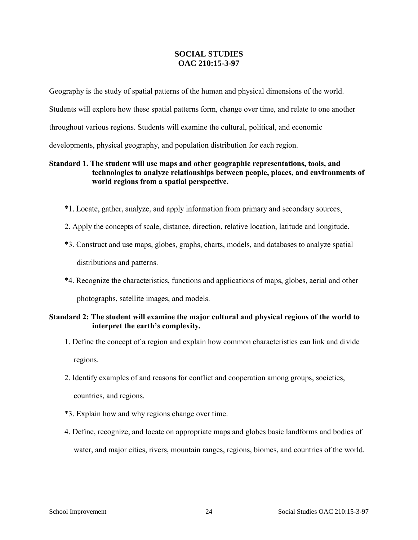# **SOCIAL STUDIES OAC 210:15-3-97**

Geography is the study of spatial patterns of the human and physical dimensions of the world. Students will explore how these spatial patterns form, change over time, and relate to one another throughout various regions. Students will examine the cultural, political, and economic developments, physical geography, and population distribution for each region.

# **Standard 1. The student will use maps and other geographic representations, tools, and technologies to analyze relationships between people, places, and environments of world regions from a spatial perspective.**

- \*1. Locate, gather, analyze, and apply information from primary and secondary sources.
- 2. Apply the concepts of scale, distance, direction, relative location, latitude and longitude.
- \*3. Construct and use maps, globes, graphs, charts, models, and databases to analyze spatial distributions and patterns.
- \*4. Recognize the characteristics, functions and applications of maps, globes, aerial and other photographs, satellite images, and models.

# **Standard 2: The student will examine the major cultural and physical regions of the world to interpret the earth's complexity***.*

- 1. Define the concept of a region and explain how common characteristics can link and divide regions.
- 2. Identify examples of and reasons for conflict and cooperation among groups, societies,

countries, and regions.

- \*3. Explain how and why regions change over time.
- 4. Define, recognize, and locate on appropriate maps and globes basic landforms and bodies of water, and major cities, rivers, mountain ranges, regions, biomes, and countries of the world.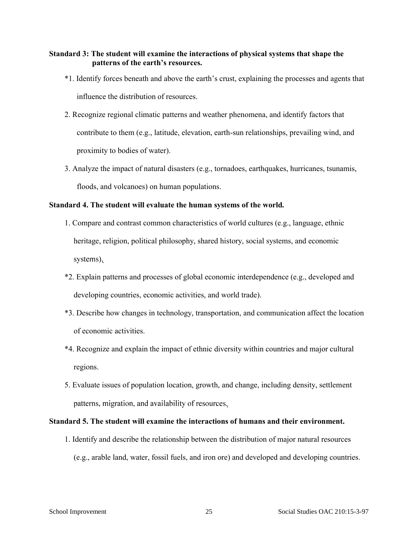# **Standard 3: The student will examine the interactions of physical systems that shape the patterns of the earth's resources.**

- \*1. Identify forces beneath and above the earth's crust, explaining the processes and agents that influence the distribution of resources.
- 2. Recognize regional climatic patterns and weather phenomena, and identify factors that contribute to them (e.g., latitude, elevation, earth-sun relationships, prevailing wind, and proximity to bodies of water).
- 3. Analyze the impact of natural disasters (e.g., tornadoes, earthquakes, hurricanes, tsunamis, floods, and volcanoes) on human populations.

### **Standard 4. The student will evaluate the human systems of the world***.*

- 1. Compare and contrast common characteristics of world cultures (e.g., language, ethnic heritage, religion, political philosophy, shared history, social systems, and economic systems).
- \*2. Explain patterns and processes of global economic interdependence (e.g., developed and developing countries, economic activities, and world trade).
- \*3. Describe how changes in technology, transportation, and communication affect the location of economic activities.
- \*4. Recognize and explain the impact of ethnic diversity within countries and major cultural regions.
- 5. Evaluate issues of population location, growth, and change, including density, settlement patterns, migration, and availability of resources.

# **Standard 5. The student will examine the interactions of humans and their environment.**

1. Identify and describe the relationship between the distribution of major natural resources (e.g., arable land, water, fossil fuels, and iron ore) and developed and developing countries.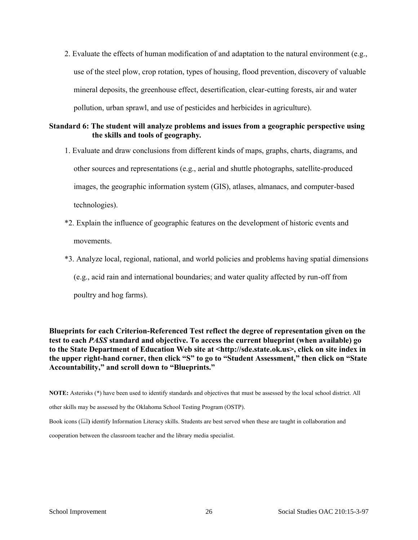2. Evaluate the effects of human modification of and adaptation to the natural environment (e.g., use of the steel plow, crop rotation, types of housing, flood prevention, discovery of valuable mineral deposits, the greenhouse effect, desertification, clear-cutting forests, air and water pollution, urban sprawl, and use of pesticides and herbicides in agriculture).

# **Standard 6: The student will analyze problems and issues from a geographic perspective using the skills and tools of geography***.*

- 1. Evaluate and draw conclusions from different kinds of maps, graphs, charts, diagrams, and other sources and representations (e.g., aerial and shuttle photographs, satellite-produced images, the geographic information system (GIS), atlases, almanacs, and computer-based technologies).
- \*2. Explain the influence of geographic features on the development of historic events and movements.
- \*3. Analyze local, regional, national, and world policies and problems having spatial dimensions (e.g., acid rain and international boundaries; and water quality affected by run-off from poultry and hog farms).

**Blueprints for each Criterion-Referenced Test reflect the degree of representation given on the test to each** *PASS* **standard and objective. To access the current blueprint (when available) go to the State Department of Education Web site at <http://sde.state.ok.us>, click on site index in the upper right-hand corner, then click "S" to go to "Student Assessment," then click on "State Accountability," and scroll down to "Blueprints."**

**NOTE:** Asterisks (\*) have been used to identify standards and objectives that must be assessed by the local school district. All

other skills may be assessed by the Oklahoma School Testing Program (OSTP).

Book icons ( $\Box$ ) identify Information Literacy skills. Students are best served when these are taught in collaboration and

cooperation between the classroom teacher and the library media specialist.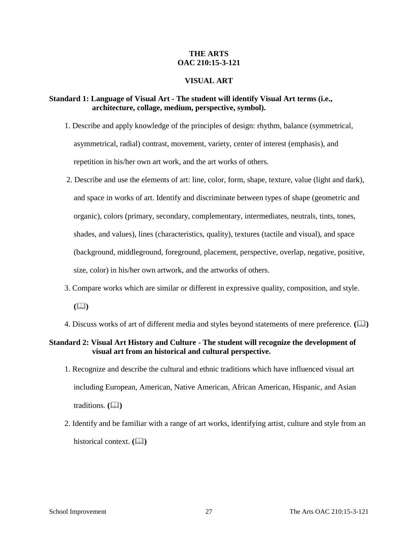# **THE ARTS OAC 210:15-3-121**

#### **VISUAL ART**

### **Standard 1: Language of Visual Art - The student will identify Visual Art terms (i.e., architecture, collage, medium, perspective, symbol).**

- 1. Describe and apply knowledge of the principles of design: rhythm, balance (symmetrical, asymmetrical, radial) contrast, movement, variety, center of interest (emphasis), and repetition in his/her own art work, and the art works of others.
- 2. Describe and use the elements of art: line, color, form, shape, texture, value (light and dark), and space in works of art. Identify and discriminate between types of shape (geometric and organic), colors (primary, secondary, complementary, intermediates, neutrals, tints, tones, shades, and values), lines (characteristics, quality), textures (tactile and visual), and space (background, middleground, foreground, placement, perspective, overlap, negative, positive, size, color) in his/her own artwork, and the artworks of others.
- 3. Compare works which are similar or different in expressive quality, composition, and style.
	- $(\Box)$
- 4. Discuss works of art of different media and styles beyond statements of mere preference. ( $\Box$ )

### **Standard 2: Visual Art History and Culture - The student will recognize the development of visual art from an historical and cultural perspective.**

- 1. Recognize and describe the cultural and ethnic traditions which have influenced visual art including European, American, Native American, African American, Hispanic, and Asian traditions. **()**
- 2. Identify and be familiar with a range of art works, identifying artist, culture and style from an historical context. **(Q)**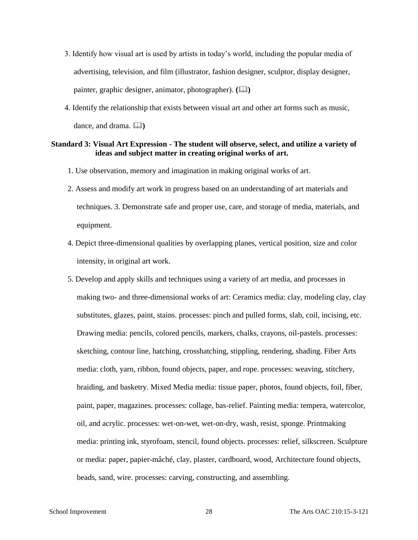- 3. Identify how visual art is used by artists in today's world, including the popular media of advertising, television, and film (illustrator, fashion designer, sculptor, display designer, painter, graphic designer, animator, photographer). **()**
- 4. Identify the relationship that exists between visual art and other art forms such as music, dance, and drama.  $\Box$

#### **Standard 3: Visual Art Expression - The student will observe, select, and utilize a variety of ideas and subject matter in creating original works of art.**

- 1. Use observation, memory and imagination in making original works of art.
- 2. Assess and modify art work in progress based on an understanding of art materials and techniques. 3. Demonstrate safe and proper use, care, and storage of media, materials, and equipment.
- 4. Depict three-dimensional qualities by overlapping planes, vertical position, size and color intensity, in original art work.
- 5. Develop and apply skills and techniques using a variety of art media, and processes in making two- and three-dimensional works of art: Ceramics media: clay, modeling clay, clay substitutes, glazes, paint, stains. processes: pinch and pulled forms, slab, coil, incising, etc. Drawing media: pencils, colored pencils, markers, chalks, crayons, oil-pastels. processes: sketching, contour line, hatching, crosshatching, stippling, rendering, shading. Fiber Arts media: cloth, yarn, ribbon, found objects, paper, and rope. processes: weaving, stitchery, braiding, and basketry. Mixed Media media: tissue paper, photos, found objects, foil, fiber, paint, paper, magazines. processes: collage, bas-relief. Painting media: tempera, watercolor, oil, and acrylic. processes: wet-on-wet, wet-on-dry, wash, resist, sponge. Printmaking media: printing ink, styrofoam, stencil, found objects. processes: relief, silkscreen. Sculpture or media: paper, papier-mâché, clay, plaster, cardboard, wood, Architecture found objects, beads, sand, wire. processes: carving, constructing, and assembling.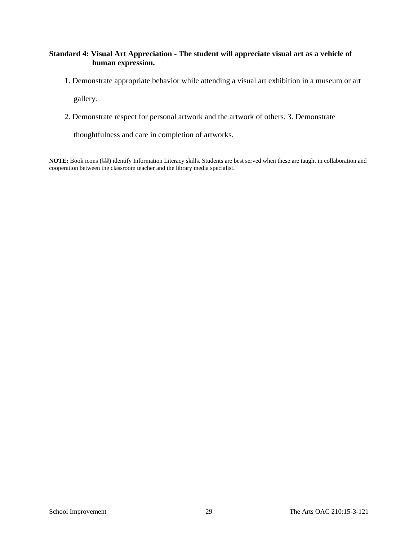# **Standard 4: Visual Art Appreciation - The student will appreciate visual art as a vehicle of human expression.**

1. Demonstrate appropriate behavior while attending a visual art exhibition in a museum or art

gallery.

2. Demonstrate respect for personal artwork and the artwork of others. 3. Demonstrate

thoughtfulness and care in completion of artworks.

**NOTE:** Book icons **()** identify Information Literacy skills. Students are best served when these are taught in collaboration and cooperation between the classroom teacher and the library media specialist.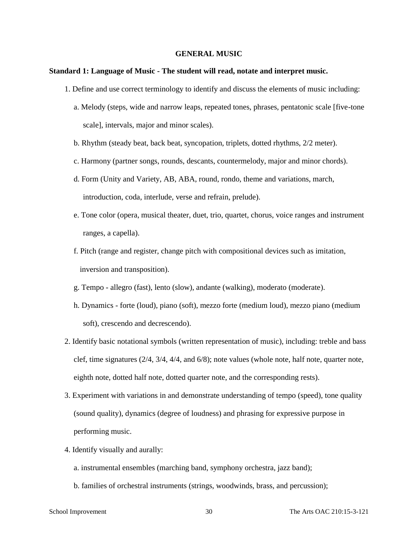#### **GENERAL MUSIC**

#### **Standard 1: Language of Music - The student will read, notate and interpret music.**

- 1. Define and use correct terminology to identify and discuss the elements of music including:
	- a. Melody (steps, wide and narrow leaps, repeated tones, phrases, pentatonic scale [five-tone scale], intervals, major and minor scales).
	- b. Rhythm (steady beat, back beat, syncopation, triplets, dotted rhythms, 2/2 meter).
	- c. Harmony (partner songs, rounds, descants, countermelody, major and minor chords).
	- d. Form (Unity and Variety, AB, ABA, round, rondo, theme and variations, march, introduction, coda, interlude, verse and refrain, prelude).
	- e. Tone color (opera, musical theater, duet, trio, quartet, chorus, voice ranges and instrument ranges, a capella).
	- f. Pitch (range and register, change pitch with compositional devices such as imitation, inversion and transposition).
	- g. Tempo allegro (fast), lento (slow), andante (walking), moderato (moderate).
	- h. Dynamics forte (loud), piano (soft), mezzo forte (medium loud), mezzo piano (medium soft), crescendo and decrescendo).
- 2. Identify basic notational symbols (written representation of music), including: treble and bass clef, time signatures (2/4, 3/4, 4/4, and 6/8); note values (whole note, half note, quarter note, eighth note, dotted half note, dotted quarter note, and the corresponding rests).
- 3. Experiment with variations in and demonstrate understanding of tempo (speed), tone quality (sound quality), dynamics (degree of loudness) and phrasing for expressive purpose in performing music.
- 4. Identify visually and aurally:
	- a. instrumental ensembles (marching band, symphony orchestra, jazz band);
	- b. families of orchestral instruments (strings, woodwinds, brass, and percussion);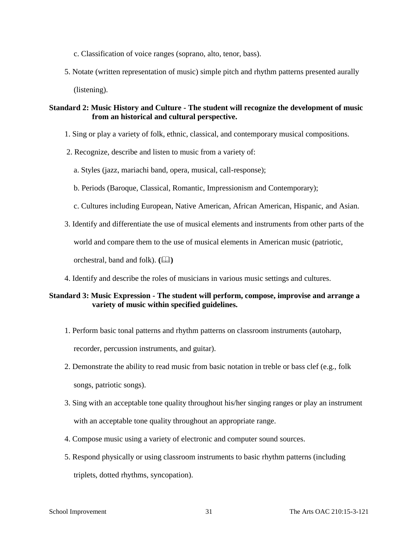c. Classification of voice ranges (soprano, alto, tenor, bass).

5. Notate (written representation of music) simple pitch and rhythm patterns presented aurally

(listening).

# **Standard 2: Music History and Culture - The student will recognize the development of music from an historical and cultural perspective.**

- 1. Sing or play a variety of folk, ethnic, classical, and contemporary musical compositions.
- 2. Recognize, describe and listen to music from a variety of:
	- a. Styles (jazz, mariachi band, opera, musical, call-response);
	- b. Periods (Baroque, Classical, Romantic, Impressionism and Contemporary);
	- c. Cultures including European, Native American, African American, Hispanic, and Asian.
- 3. Identify and differentiate the use of musical elements and instruments from other parts of the

world and compare them to the use of musical elements in American music (patriotic,

orchestral, band and folk).  $(\Box \Box)$ 

4. Identify and describe the roles of musicians in various music settings and cultures.

# **Standard 3: Music Expression - The student will perform, compose, improvise and arrange a variety of music within specified guidelines.**

- 1. Perform basic tonal patterns and rhythm patterns on classroom instruments (autoharp, recorder, percussion instruments, and guitar).
- 2. Demonstrate the ability to read music from basic notation in treble or bass clef (e.g., folk songs, patriotic songs).
- 3. Sing with an acceptable tone quality throughout his/her singing ranges or play an instrument with an acceptable tone quality throughout an appropriate range.
- 4. Compose music using a variety of electronic and computer sound sources.
- 5. Respond physically or using classroom instruments to basic rhythm patterns (including triplets, dotted rhythms, syncopation).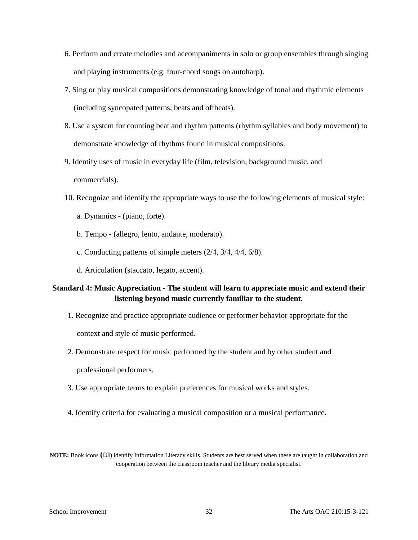- 6. Perform and create melodies and accompaniments in solo or group ensembles through singing and playing instruments (e.g. four-chord songs on autoharp).
- 7. Sing or play musical compositions demonstrating knowledge of tonal and rhythmic elements (including syncopated patterns, beats and offbeats).
- 8. Use a system for counting beat and rhythm patterns (rhythm syllables and body movement) to demonstrate knowledge of rhythms found in musical compositions.
- 9. Identify uses of music in everyday life (film, television, background music, and commercials).
- 10. Recognize and identify the appropriate ways to use the following elements of musical style:
	- a. Dynamics (piano, forte).
	- b. Tempo (allegro, lento, andante, moderato).
	- c. Conducting patterns of simple meters (2/4, 3/4, 4/4, 6/8).
	- d. Articulation (staccato, legato, accent).

# **Standard 4: Music Appreciation - The student will learn to appreciate music and extend their listening beyond music currently familiar to the student.**

- 1. Recognize and practice appropriate audience or performer behavior appropriate for the context and style of music performed.
- 2. Demonstrate respect for music performed by the student and by other student and professional performers.
- 3. Use appropriate terms to explain preferences for musical works and styles.
- 4. Identify criteria for evaluating a musical composition or a musical performance.

**NOTE:** Book icons  $(\Box)$  identify Information Literacy skills. Students are best served when these are taught in collaboration and cooperation between the classroom teacher and the library media specialist.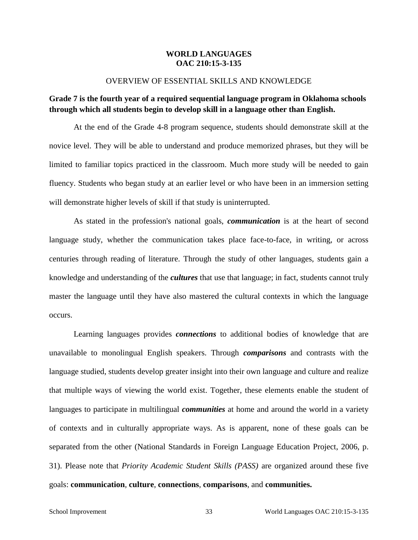#### **WORLD LANGUAGES OAC 210:15-3-135**

#### OVERVIEW OF ESSENTIAL SKILLS AND KNOWLEDGE

# **Grade 7 is the fourth year of a required sequential language program in Oklahoma schools through which all students begin to develop skill in a language other than English.**

At the end of the Grade 4-8 program sequence, students should demonstrate skill at the novice level. They will be able to understand and produce memorized phrases, but they will be limited to familiar topics practiced in the classroom. Much more study will be needed to gain fluency. Students who began study at an earlier level or who have been in an immersion setting will demonstrate higher levels of skill if that study is uninterrupted.

As stated in the profession's national goals, *communication* is at the heart of second language study, whether the communication takes place face-to-face, in writing, or across centuries through reading of literature. Through the study of other languages, students gain a knowledge and understanding of the *cultures* that use that language; in fact, students cannot truly master the language until they have also mastered the cultural contexts in which the language occurs.

Learning languages provides *connections* to additional bodies of knowledge that are unavailable to monolingual English speakers. Through *comparisons* and contrasts with the language studied, students develop greater insight into their own language and culture and realize that multiple ways of viewing the world exist. Together, these elements enable the student of languages to participate in multilingual *communities* at home and around the world in a variety of contexts and in culturally appropriate ways. As is apparent, none of these goals can be separated from the other (National Standards in Foreign Language Education Project, 2006, p. 31). Please note that *Priority Academic Student Skills (PASS)* are organized around these five goals: **communication**, **culture**, **connections**, **comparisons**, and **communities.**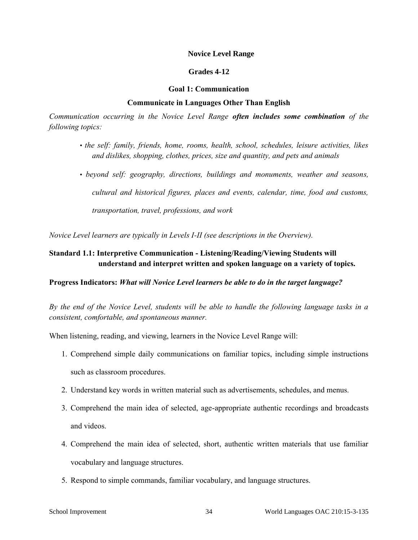#### **Novice Level Range**

#### **Grades 4-12**

#### **Goal 1: Communication**

#### **Communicate in Languages Other Than English**

*Communication occurring in the Novice Level Range often includes some combination of the following topics:* 

- *the self: family, friends, home, rooms, health, school, schedules, leisure activities, likes and dislikes, shopping, clothes, prices, size and quantity, and pets and animals*
- *beyond self: geography, directions, buildings and monuments, weather and seasons, cultural and historical figures, places and events, calendar, time, food and customs, transportation, travel, professions, and work*

*Novice Level learners are typically in Levels I-II (see descriptions in the Overview).* 

# **Standard 1.1: Interpretive Communication - Listening/Reading/Viewing Students will understand and interpret written and spoken language on a variety of topics.**

#### **Progress Indicators:** *What will Novice Level learners be able to do in the target language?*

*By the end of the Novice Level, students will be able to handle the following language tasks in a consistent, comfortable, and spontaneous manner.* 

When listening, reading, and viewing, learners in the Novice Level Range will:

- 1. Comprehend simple daily communications on familiar topics, including simple instructions such as classroom procedures.
- 2. Understand key words in written material such as advertisements, schedules, and menus.
- 3. Comprehend the main idea of selected, age-appropriate authentic recordings and broadcasts and videos.
- 4. Comprehend the main idea of selected, short, authentic written materials that use familiar vocabulary and language structures.
- 5. Respond to simple commands, familiar vocabulary, and language structures.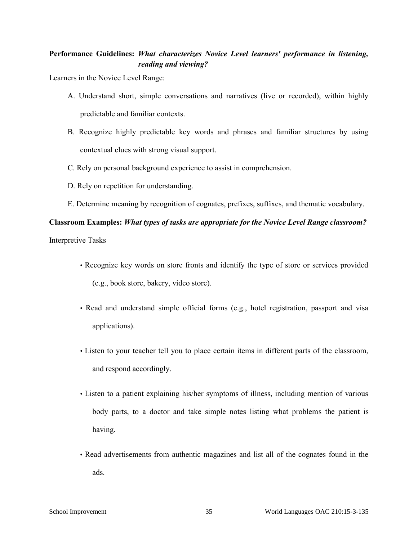# **Performance Guidelines:** *What characterizes Novice Level learners' performance in listening, reading and viewing?*

Learners in the Novice Level Range:

- A. Understand short, simple conversations and narratives (live or recorded), within highly predictable and familiar contexts.
- B. Recognize highly predictable key words and phrases and familiar structures by using contextual clues with strong visual support.
- C. Rely on personal background experience to assist in comprehension.
- D. Rely on repetition for understanding.
- E. Determine meaning by recognition of cognates, prefixes, suffixes, and thematic vocabulary.

# **Classroom Examples:** *What types of tasks are appropriate for the Novice Level Range classroom?*

Interpretive Tasks

- Recognize key words on store fronts and identify the type of store or services provided (e.g., book store, bakery, video store).
- Read and understand simple official forms (e.g., hotel registration, passport and visa applications).
- Listen to your teacher tell you to place certain items in different parts of the classroom, and respond accordingly.
- Listen to a patient explaining his/her symptoms of illness, including mention of various body parts, to a doctor and take simple notes listing what problems the patient is having.
- Read advertisements from authentic magazines and list all of the cognates found in the ads.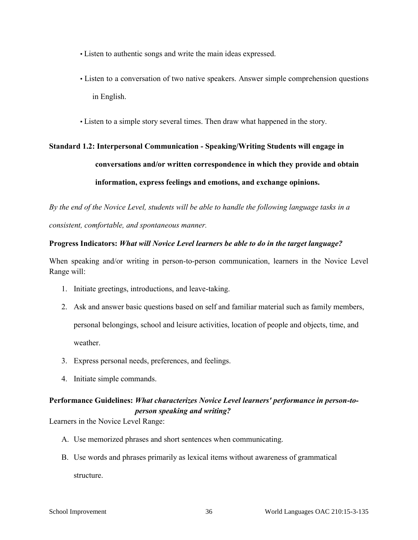- Listen to authentic songs and write the main ideas expressed.
- Listen to a conversation of two native speakers. Answer simple comprehension questions in English.
- Listen to a simple story several times. Then draw what happened in the story.

# **Standard 1.2: Interpersonal Communication - Speaking/Writing Students will engage in conversations and/or written correspondence in which they provide and obtain information, express feelings and emotions, and exchange opinions.**

*By the end of the Novice Level, students will be able to handle the following language tasks in a consistent, comfortable, and spontaneous manner.* 

# **Progress Indicators:** *What will Novice Level learners be able to do in the target language?*

When speaking and/or writing in person-to-person communication, learners in the Novice Level Range will:

- 1. Initiate greetings, introductions, and leave-taking.
- 2. Ask and answer basic questions based on self and familiar material such as family members, personal belongings, school and leisure activities, location of people and objects, time, and weather.
- 3. Express personal needs, preferences, and feelings.
- 4. Initiate simple commands.

# **Performance Guidelines:** *What characterizes Novice Level learners' performance in person-toperson speaking and writing?*

Learners in the Novice Level Range:

- A. Use memorized phrases and short sentences when communicating.
- B. Use words and phrases primarily as lexical items without awareness of grammatical structure.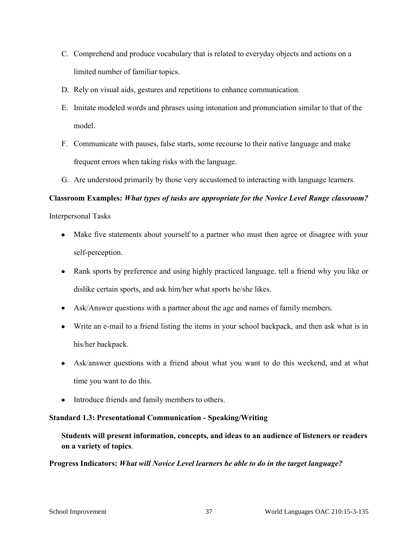- C. Comprehend and produce vocabulary that is related to everyday objects and actions on a limited number of familiar topics.
- D. Rely on visual aids, gestures and repetitions to enhance communication.
- E. Imitate modeled words and phrases using intonation and pronunciation similar to that of the model.
- F. Communicate with pauses, false starts, some recourse to their native language and make frequent errors when taking risks with the language.
- G. Are understood primarily by those very accustomed to interacting with language learners.

Interpersonal Tasks

- Make five statements about yourself to a partner who must then agree or disagree with your self-perception.
- Rank sports by preference and using highly practiced language, tell a friend why you like or dislike certain sports, and ask him/her what sports he/she likes.
- Ask/Answer questions with a partner about the age and names of family members.
- Write an e-mail to a friend listing the items in your school backpack, and then ask what is in his/her backpack.
- Ask/answer questions with a friend about what you want to do this weekend, and at what time you want to do this.
- Introduce friends and family members to others.

# **Standard 1.3: Presentational Communication - Speaking/Writing**

**Students will present information, concepts, and ideas to an audience of listeners or readers on a variety of topics**.

# **Progress Indicators:** *What will Novice Level learners be able to do in the target language?*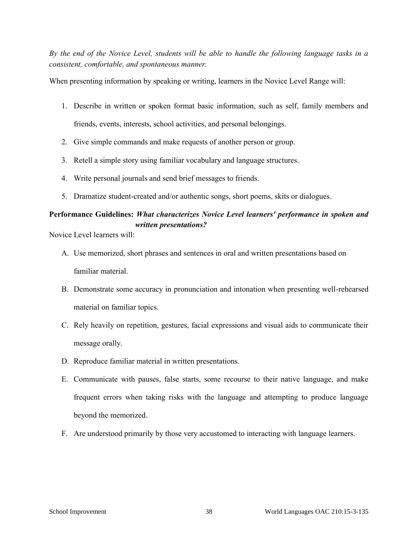*By the end of the Novice Level, students will be able to handle the following language tasks in a consistent, comfortable, and spontaneous manner.* 

When presenting information by speaking or writing, learners in the Novice Level Range will:

- 1. Describe in written or spoken format basic information, such as self, family members and friends, events, interests, school activities, and personal belongings.
- 2. Give simple commands and make requests of another person or group.
- 3. Retell a simple story using familiar vocabulary and language structures.
- 4. Write personal journals and send brief messages to friends.
- 5. Dramatize student-created and/or authentic songs, short poems, skits or dialogues.

# **Performance Guidelines:** *What characterizes Novice Level learners' performance in spoken and written presentations?*

Novice Level learners will:

- A. Use memorized, short phrases and sentences in oral and written presentations based on familiar material.
- B. Demonstrate some accuracy in pronunciation and intonation when presenting well-rehearsed material on familiar topics.
- C. Rely heavily on repetition, gestures, facial expressions and visual aids to communicate their message orally.
- D. Reproduce familiar material in written presentations.
- E. Communicate with pauses, false starts, some recourse to their native language, and make frequent errors when taking risks with the language and attempting to produce language beyond the memorized.
- F. Are understood primarily by those very accustomed to interacting with language learners.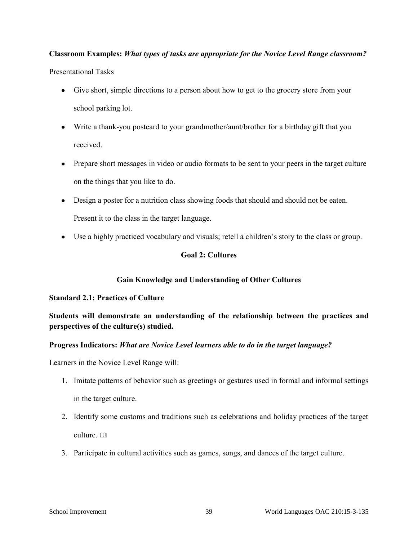Presentational Tasks

- Give short, simple directions to a person about how to get to the grocery store from your school parking lot.
- Write a thank-you postcard to your grandmother/aunt/brother for a birthday gift that you received.
- Prepare short messages in video or audio formats to be sent to your peers in the target culture on the things that you like to do.
- Design a poster for a nutrition class showing foods that should and should not be eaten. Present it to the class in the target language.
- Use a highly practiced vocabulary and visuals; retell a children's story to the class or group.

# **Goal 2: Cultures**

# **Gain Knowledge and Understanding of Other Cultures**

# **Standard 2.1: Practices of Culture**

# **Students will demonstrate an understanding of the relationship between the practices and perspectives of the culture(s) studied.**

# **Progress Indicators:** *What are Novice Level learners able to do in the target language?*

Learners in the Novice Level Range will:

- 1. Imitate patterns of behavior such as greetings or gestures used in formal and informal settings in the target culture.
- 2. Identify some customs and traditions such as celebrations and holiday practices of the target culture.
- 3. Participate in cultural activities such as games, songs, and dances of the target culture.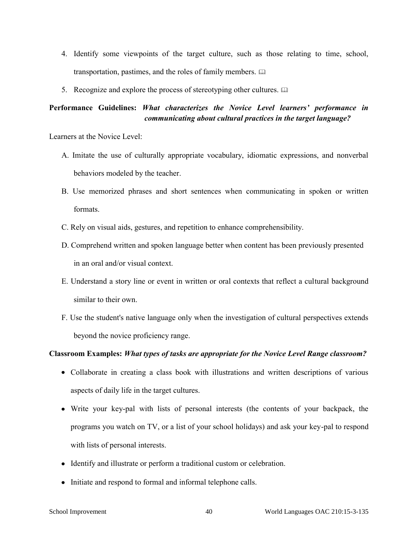- 4. Identify some viewpoints of the target culture, such as those relating to time, school, transportation, pastimes, and the roles of family members.
- 5. Recognize and explore the process of stereotyping other cultures.  $\square$

# **Performance Guidelines:** *What characterizes the Novice Level learners' performance in communicating about cultural practices in the target language?*

Learners at the Novice Level:

- A. Imitate the use of culturally appropriate vocabulary, idiomatic expressions, and nonverbal behaviors modeled by the teacher.
- B. Use memorized phrases and short sentences when communicating in spoken or written formats.
- C. Rely on visual aids, gestures, and repetition to enhance comprehensibility.
- D. Comprehend written and spoken language better when content has been previously presented in an oral and/or visual context.
- E. Understand a story line or event in written or oral contexts that reflect a cultural background similar to their own.
- F. Use the student's native language only when the investigation of cultural perspectives extends beyond the novice proficiency range.

# **Classroom Examples:** *What types of tasks are appropriate for the Novice Level Range classroom?*

- Collaborate in creating a class book with illustrations and written descriptions of various aspects of daily life in the target cultures.
- Write your key-pal with lists of personal interests (the contents of your backpack, the programs you watch on TV, or a list of your school holidays) and ask your key-pal to respond with lists of personal interests.
- Identify and illustrate or perform a traditional custom or celebration.
- Initiate and respond to formal and informal telephone calls.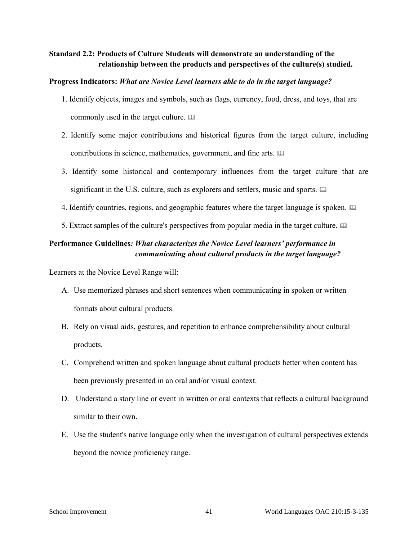# **Standard 2.2: Products of Culture Students will demonstrate an understanding of the relationship between the products and perspectives of the culture(s) studied.**

#### **Progress Indicators:** *What are Novice Level learners able to do in the target language?*

- 1. Identify objects, images and symbols, such as flags, currency, food, dress, and toys, that are commonly used in the target culture.
- 2. Identify some major contributions and historical figures from the target culture, including contributions in science, mathematics, government, and fine arts.
- 3. Identify some historical and contemporary influences from the target culture that are significant in the U.S. culture, such as explorers and settlers, music and sports.  $\Box$
- 4. Identify countries, regions, and geographic features where the target language is spoken.
- 5. Extract samples of the culture's perspectives from popular media in the target culture.

# **Performance Guidelines***: What characterizes the Novice Level learners' performance in communicating about cultural products in the target language?*

Learners at the Novice Level Range will:

- A. Use memorized phrases and short sentences when communicating in spoken or written formats about cultural products.
- B. Rely on visual aids, gestures, and repetition to enhance comprehensibility about cultural products.
- C. Comprehend written and spoken language about cultural products better when content has been previously presented in an oral and/or visual context.
- D. Understand a story line or event in written or oral contexts that reflects a cultural background similar to their own.
- E. Use the student's native language only when the investigation of cultural perspectives extends beyond the novice proficiency range.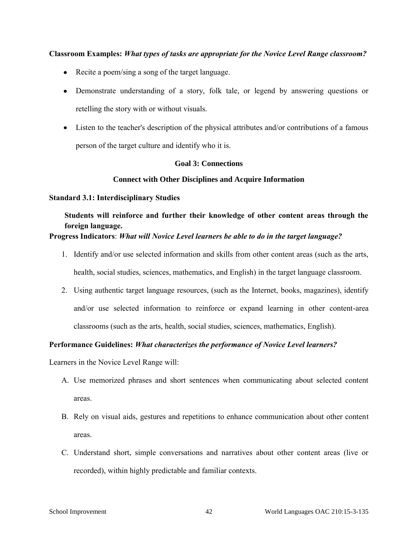- Recite a poem/sing a song of the target language.
- Demonstrate understanding of a story, folk tale, or legend by answering questions or retelling the story with or without visuals.
- Listen to the teacher's description of the physical attributes and/or contributions of a famous person of the target culture and identify who it is.

### **Goal 3: Connections**

### **Connect with Other Disciplines and Acquire Information**

#### **Standard 3.1: Interdisciplinary Studies**

# **Students will reinforce and further their knowledge of other content areas through the foreign language.**

# **Progress Indicators**: *What will Novice Level learners be able to do in the target language?*

- 1. Identify and/or use selected information and skills from other content areas (such as the arts, health, social studies, sciences, mathematics, and English) in the target language classroom.
- 2. Using authentic target language resources, (such as the Internet, books, magazines), identify and/or use selected information to reinforce or expand learning in other content-area classrooms (such as the arts, health, social studies, sciences, mathematics, English).

# **Performance Guidelines:** *What characterizes the performance of Novice Level learners?*

Learners in the Novice Level Range will:

- A. Use memorized phrases and short sentences when communicating about selected content areas.
- B. Rely on visual aids, gestures and repetitions to enhance communication about other content areas.
- C. Understand short, simple conversations and narratives about other content areas (live or recorded), within highly predictable and familiar contexts.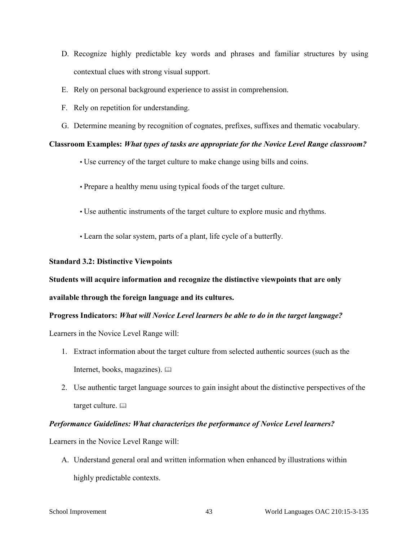- D. Recognize highly predictable key words and phrases and familiar structures by using contextual clues with strong visual support.
- E. Rely on personal background experience to assist in comprehension.
- F. Rely on repetition for understanding.
- G. Determine meaning by recognition of cognates, prefixes, suffixes and thematic vocabulary.

- Use currency of the target culture to make change using bills and coins.
- Prepare a healthy menu using typical foods of the target culture.
- Use authentic instruments of the target culture to explore music and rhythms.
- Learn the solar system, parts of a plant, life cycle of a butterfly.

# **Standard 3.2: Distinctive Viewpoints**

# **Students will acquire information and recognize the distinctive viewpoints that are only**

# **available through the foreign language and its cultures.**

# **Progress Indicators:** *What will Novice Level learners be able to do in the target language?*

Learners in the Novice Level Range will:

- 1. Extract information about the target culture from selected authentic sources (such as the Internet, books, magazines).
- 2. Use authentic target language sources to gain insight about the distinctive perspectives of the target culture.  $\Box$

# *Performance Guidelines: What characterizes the performance of Novice Level learners?*

Learners in the Novice Level Range will:

A. Understand general oral and written information when enhanced by illustrations within highly predictable contexts.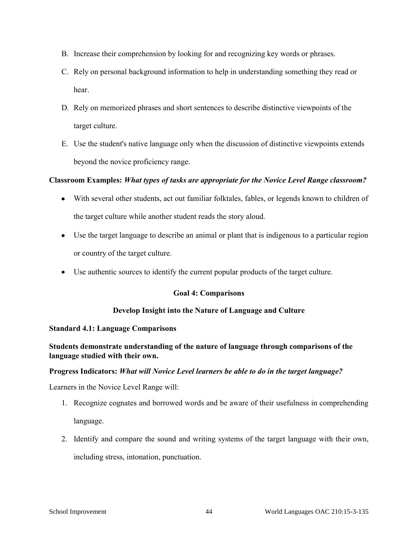- B. Increase their comprehension by looking for and recognizing key words or phrases.
- C. Rely on personal background information to help in understanding something they read or hear.
- D. Rely on memorized phrases and short sentences to describe distinctive viewpoints of the target culture.
- E. Use the student's native language only when the discussion of distinctive viewpoints extends beyond the novice proficiency range.

- With several other students, act out familiar folktales, fables, or legends known to children of the target culture while another student reads the story aloud.
- Use the target language to describe an animal or plant that is indigenous to a particular region or country of the target culture.
- Use authentic sources to identify the current popular products of the target culture.

# **Goal 4: Comparisons**

# **Develop Insight into the Nature of Language and Culture**

# **Standard 4.1: Language Comparisons**

# **Students demonstrate understanding of the nature of language through comparisons of the language studied with their own.**

# **Progress Indicators:** *What will Novice Level learners be able to do in the target language?*

Learners in the Novice Level Range will:

- 1. Recognize cognates and borrowed words and be aware of their usefulness in comprehending language.
- 2. Identify and compare the sound and writing systems of the target language with their own, including stress, intonation, punctuation.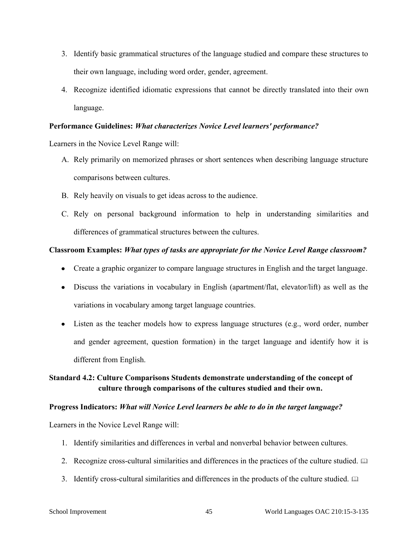- 3. Identify basic grammatical structures of the language studied and compare these structures to their own language, including word order, gender, agreement.
- 4. Recognize identified idiomatic expressions that cannot be directly translated into their own language.

#### **Performance Guidelines:** *What characterizes Novice Level learners' performance?*

Learners in the Novice Level Range will:

- A. Rely primarily on memorized phrases or short sentences when describing language structure comparisons between cultures.
- B. Rely heavily on visuals to get ideas across to the audience.
- C. Rely on personal background information to help in understanding similarities and differences of grammatical structures between the cultures.

### **Classroom Examples:** *What types of tasks are appropriate for the Novice Level Range classroom?*

- Create a graphic organizer to compare language structures in English and the target language.
- Discuss the variations in vocabulary in English (apartment/flat, elevator/lift) as well as the variations in vocabulary among target language countries.
- Listen as the teacher models how to express language structures (e.g., word order, number and gender agreement, question formation) in the target language and identify how it is different from English.

# **Standard 4.2: Culture Comparisons Students demonstrate understanding of the concept of culture through comparisons of the cultures studied and their own.**

#### **Progress Indicators:** *What will Novice Level learners be able to do in the target language?*

Learners in the Novice Level Range will:

- 1. Identify similarities and differences in verbal and nonverbal behavior between cultures.
- 2. Recognize cross-cultural similarities and differences in the practices of the culture studied.
- 3. Identify cross-cultural similarities and differences in the products of the culture studied.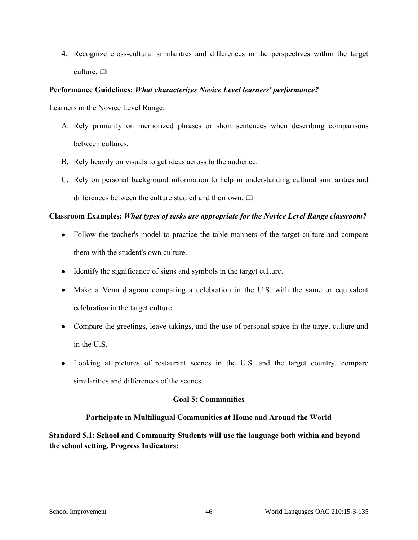4. Recognize cross-cultural similarities and differences in the perspectives within the target culture. a

# **Performance Guidelines:** *What characterizes Novice Level learners' performance?*

Learners in the Novice Level Range:

- A. Rely primarily on memorized phrases or short sentences when describing comparisons between cultures.
- B. Rely heavily on visuals to get ideas across to the audience.
- C. Rely on personal background information to help in understanding cultural similarities and differences between the culture studied and their own.

### **Classroom Examples:** *What types of tasks are appropriate for the Novice Level Range classroom?*

- Follow the teacher's model to practice the table manners of the target culture and compare them with the student's own culture.
- Identify the significance of signs and symbols in the target culture.
- Make a Venn diagram comparing a celebration in the U.S. with the same or equivalent celebration in the target culture.
- Compare the greetings, leave takings, and the use of personal space in the target culture and in the U.S.
- Looking at pictures of restaurant scenes in the U.S. and the target country, compare similarities and differences of the scenes.

# **Goal 5: Communities**

# **Participate in Multilingual Communities at Home and Around the World**

**Standard 5.1: School and Community Students will use the language both within and beyond the school setting. Progress Indicators:**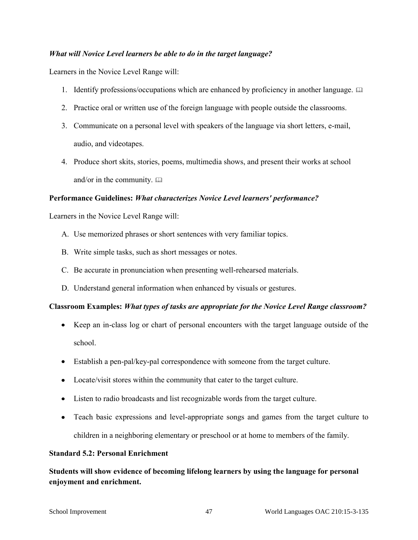### *What will Novice Level learners be able to do in the target language?*

Learners in the Novice Level Range will:

- 1. Identify professions/occupations which are enhanced by proficiency in another language.  $\square$
- 2. Practice oral or written use of the foreign language with people outside the classrooms.
- 3. Communicate on a personal level with speakers of the language via short letters, e-mail, audio, and videotapes.
- 4. Produce short skits, stories, poems, multimedia shows, and present their works at school and/or in the community.  $\square$

### **Performance Guidelines:** *What characterizes Novice Level learners' performance?*

Learners in the Novice Level Range will:

- A. Use memorized phrases or short sentences with very familiar topics.
- B. Write simple tasks, such as short messages or notes.
- C. Be accurate in pronunciation when presenting well-rehearsed materials.
- D. Understand general information when enhanced by visuals or gestures.

#### **Classroom Examples:** *What types of tasks are appropriate for the Novice Level Range classroom?*

- Keep an in-class log or chart of personal encounters with the target language outside of the school.
- Establish a pen-pal/key-pal correspondence with someone from the target culture.
- Locate/visit stores within the community that cater to the target culture.
- Listen to radio broadcasts and list recognizable words from the target culture.
- Teach basic expressions and level-appropriate songs and games from the target culture to children in a neighboring elementary or preschool or at home to members of the family.

#### **Standard 5.2: Personal Enrichment**

**Students will show evidence of becoming lifelong learners by using the language for personal enjoyment and enrichment.**